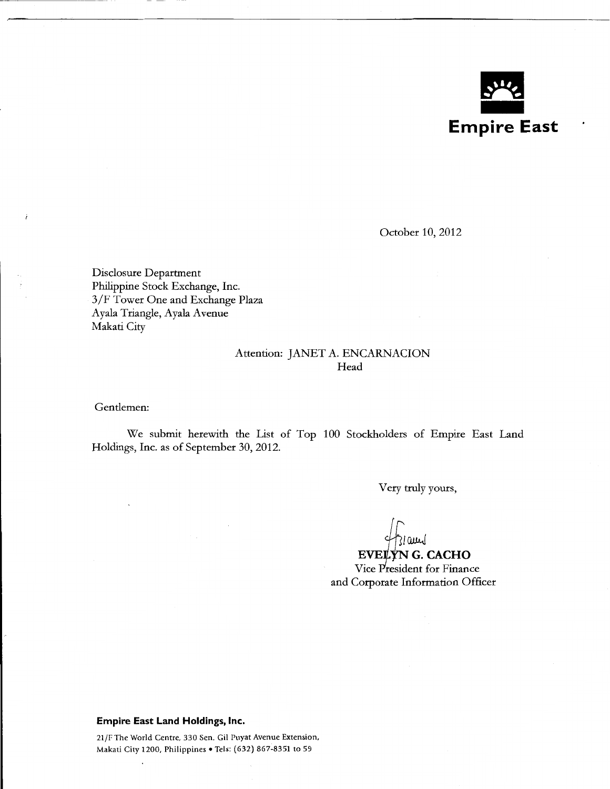

October 10, 2012

Disclosure Department Philippine Stock Exchange, Inc. 3/F Tower One and Exchange Plaza Ayala Triangle, Ayala Avenue Makati City

### Attention: JANET A. ENCARNACION Head

Gentlemen:

 $\ddot{ }$ 

We submit herewith the List of Top 100 Stockholders of Empire East Land Holdings, Inc. as of September 30, 2012.

Very truly yours,

*ftCWJ.J* 

**EVELYN G. CACHO** Vice President for Finance and Corporate Information Officer

#### **Empire East Land Holdings, Inc.**

21/F The World Centre, 330 Sen. Gil Puyat Avenue Extension, Makati City 1200, Philippines • Tels: (632) 867-8351 to 59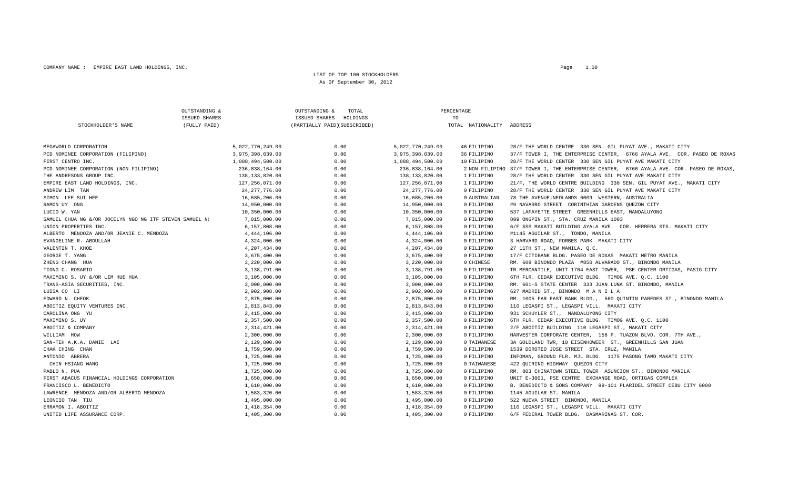#### LIST OF TOP 100 STOCKHOLDERSAs Of September 30, 2012

|                                                         | OUTSTANDING &        | OUTSTANDING &<br>TOTAL       |                  | PERCENTAGE                |                                                                                          |
|---------------------------------------------------------|----------------------|------------------------------|------------------|---------------------------|------------------------------------------------------------------------------------------|
|                                                         | <b>ISSUED SHARES</b> | ISSUED SHARES<br>HOLDINGS    |                  | TO                        |                                                                                          |
| STOCKHOLDER'S NAME                                      | (FULLY PAID)         | (PARTIALLY PAID)(SUBSCRIBED) |                  | TOTAL NATIONALITY ADDRESS |                                                                                          |
| MEGAWORLD CORPORATION                                   | 5,022,770,249.00     | 0.00                         | 5,022,770,249.00 | 46 FILIPINO               | 28/F THE WORLD CENTRE 330 SEN. GIL PUYAT AVE., MAKATI CITY                               |
| PCD NOMINEE CORPORATION (FILIPINO)                      | 3,975,398,039.00     | 0.00                         | 3,975,398,039.00 | 36 FILIPINO               | 37/F TOWER I, THE ENTERPRISE CENTER, 6766 AYALA AVE. COR. PASEO DE ROXAS                 |
| FIRST CENTRO INC.                                       | 1,088,494,500.00     | 0.00                         | 1,088,494,500.00 | 10 FILIPINO               | 28/F THE WORLD CENTER 330 SEN GIL PUYAT AVE MAKATI CITY                                  |
| PCD NOMINEE CORPORATION (NON-FILIPINO)                  | 236,838,164.00       | 0.00                         | 236,838,164.00   |                           | 2 NON-FILIPINO 37/F TOWER I, THE ENTERPRISE CENTER, 6766 AYALA AVE. COR. PASEO DE ROXAS, |
| THE ANDRESONS GROUP INC.                                | 138, 133, 820.00     | 0.00                         | 138,133,820.00   | 1 FILIPINO                | 28/F THE WORLD CENTER 330 SEN GIL PUYAT AVE MAKATI CITY                                  |
| EMPIRE EAST LAND HOLDINGS, INC.                         | 127,256,071.00       | 0.00                         | 127,256,071.00   | 1 FILIPINO                | 21/F, THE WORLD CENTRE BUILDING 330 SEN. GIL PUYAT AVE., MAKATI CITY                     |
| ANDREW LIM TAN                                          | 24, 277, 776.00      | 0.00                         | 24, 277, 776.00  | 0 FILIPINO                | 28/F THE WORLD CENTER 330 SEN GIL PUYAT AVE MAKATI CITY                                  |
| SIMON LEE SUI HEE                                       | 16,685,206.00        | 0.00                         | 16,685,206.00    | 0 AUSTRALIAN              | 78 THE AVENUE; NEDLANDS 6009 WESTERN, AUSTRALIA                                          |
| RAMON UY ONG                                            | 14,950,000.00        | 0.00                         | 14,950,000.00    | 0 FILIPINO                | #9 NAVARRO STREET CORINTHIAN GARDENS QUEZON CITY                                         |
| LUCIO W. YAN                                            | 10,350,000.00        | 0.00                         | 10,350,000.00    | 0 FILIPINO                | 537 LAFAYETTE STREET GREENHILLS EAST, MANDALUYONG                                        |
| SAMUEL CHUA NG &/OR JOCELYN NGO NG ITF STEVEN SAMUEL NO | 7,015,000.00         | 0.00                         | 7,015,000.00     | 0 FILIPINO                | 809 ONGPIN ST., STA. CRUZ MANILA 1003                                                    |
| UNION PROPERTIES INC.                                   | 6,157,808.00         | 0.00                         | 6,157,808.00     | 0 FILIPINO                | 6/F SSS MAKATI BUILDING AYALA AVE. COR. HERRERA STS. MAKATI CITY                         |
| ALBERTO MENDOZA AND/OR JEANIE C. MENDOZA                | 4,444,106.00         | 0.00                         | 4,444,106.00     | 0 FILIPINO                | #1145 AGUILAR ST., TONDO, MANILA                                                         |
| EVANGELINE R. ABDULLAH                                  | 4,324,000.00         | 0.00                         | 4,324,000.00     | 0 FILIPINO                | 3 HARVARD ROAD, FORBES PARK MAKATI CITY                                                  |
| VALENTIN T. KHOE                                        | 4,207,434.00         | 0.00                         | 4,207,434.00     | 0 FILIPINO                | 27 11TH ST., NEW MANILA, Q.C.                                                            |
| GEORGE T. YANG                                          | 3,675,400.00         | 0.00                         | 3,675,400.00     | 0 FILIPINO                | 17/F CITIBANK BLDG. PASEO DE ROXAS MAKATI METRO MANILA                                   |
| ZHENG CHANG HUA                                         | 3,220,000.00         | 0.00                         | 3,220,000.00     | 0 CHINESE                 | RM. 608 BINONDO PLAZA #850 ALVARADO ST., BINONDO MANILA                                  |
| TIONG C. ROSARIO                                        | 3,138,791.00         | 0.00                         | 3,138,791.00     | 0 FILIPINO                | TR MERCANTILE, UNIT 1704 EAST TOWER, PSE CENTER ORTIGAS, PASIG CITY                      |
| MAXIMINO S. UY &/OR LIM HUE HUA                         | 3,105,000.00         | 0.00                         | 3,105,000.00     | 0 FILIPINO                | 6TH FLR. CEDAR EXECUTIVE BLDG. TIMOG AVE. Q.C. 1100                                      |
| TRANS-ASIA SECURITIES, INC.                             | 3,000,000.00         | 0.00                         | 3,000,000.00     | 0 FILIPINO                | RM. 601-S STATE CENTER 333 JUAN LUNA ST. BINONDO, MANILA                                 |
| LUISA CO LI                                             | 2,902,908.00         | 0.00                         | 2,902,908.00     | 0 FILIPINO                | 627 MADRID ST., BINONDO MANILA                                                           |
| EDWARD N. CHEOK                                         | 2,875,000.00         | 0.00                         | 2,875,000.00     | 0 FILIPINO                | RM. 1005 FAR EAST BANK BLDG., 560 QUINTIN PAREDES ST., BINONDO MANILA                    |
| ABOITIZ EQUITY VENTURES INC.                            | 2,813,843.00         | 0.00                         | 2,813,843.00     | 0 FILIPINO                | 110 LEGASPI ST., LEGASPI VILL. MAKATI CITY                                               |
| CAROLINA ONG YU                                         | 2,415,000.00         | 0.00                         | 2,415,000.00     | 0 FILIPINO                | 931 SCHUYLER ST., MANDALUYONG CITY                                                       |
| MAXIMINO S. UY                                          | 2,357,500.00         | 0.00                         | 2,357,500.00     | 0 FILIPINO                | 6TH FLR. CEDAR EXECUTIVE BLDG. TIMOG AVE. O.C. 1100                                      |
| ABOITIZ & COMPANY                                       | 2, 314, 421.00       | 0.00                         | 2,314,421.00     | 0 FILIPINO                | 2/F ABOITIZ BUILDING 110 LEGASPI ST., MAKATI CITY                                        |
| WILLIAM HOW                                             | 2,300,000.00         | 0.00                         | 2,300,000.00     | 0 FILIPINO                | HARVESTER CORPORATE CENTER, 158 P. TUAZON BLVD. COR. 7TH AVE.,                           |
| SAN-TEH A.K.A. DANIE LAI                                | 2,129,800.00         | 0.00                         | 2,129,800.00     | 0 TAIWANESE               | 3A GOLDLAND TWR, 10 EISENHOWEER ST., GREENHILLS SAN JUAN                                 |
| CHAK CHING CHAN                                         | 1,759,500.00         | 0.00                         | 1,759,500.00     | 0 FILIPINO                | 1539 DOROTEO JOSE STREET STA. CRUZ, MANILA                                               |
| ANTONIO ABRERA                                          | 1,725,000.00         | 0.00                         | 1,725,000.00     | 0 FILIPINO                | INFOMAN, GROUND FLR. MJL BLDG. 1175 PASONG TAMO MAKATI CITY                              |
| CHIN HSIANG WANG                                        | 1,725,000.00         | 0.00                         | 1,725,000.00     | 0 TAIWANESE               | 422 QUIRINO HIGHWAY QUEZON CITY                                                          |
| PABLO N. PUA                                            | 1,725,000.00         | 0.00                         | 1,725,000.00     | 0 FILIPINO                | RM. 803 CHINATOWN STEEL TOWER ASUNCION ST., BINONDO MANILA                               |
| FIRST ABACUS FINANCIAL HOLDINGS CORPORATION             | 1,650,000.00         | 0.00                         | 1,650,000.00     | 0 FILIPINO                | UNIT E-3001, PSE CENTRE EXCHANGE ROAD, ORTIGAS COMPLEX                                   |
| FRANCISCO L. BENEDICTO                                  | 1,610,000.00         | 0.00                         | 1,610,000.00     | 0 FILIPINO                | B. BENEDICTO & SONS COMPANY 99-101 PLARIDEL STREET CEBU CITY 6000                        |
| LAWRENCE MENDOZA AND/OR ALBERTO MENDOZA                 | 1,583,320.00         | 0.00                         | 1,583,320.00     | 0 FILIPINO                | 1145 AGUILAR ST. MANILA                                                                  |
| LEONCIO TAN TIU                                         | 1,495,000.00         | 0.00                         | 1,495,000.00     | 0 FILIPINO                | 522 NUEVA STREET BINONDO, MANILA                                                         |
| ERRAMON I. ABOITIZ                                      | 1,418,354.00         | 0.00                         | 1,418,354.00     | 0 FILIPINO                | 110 LEGASPI ST., LEGASPI VILL. MAKATI CITY                                               |
| UNITED LIFE ASSURANCE CORP.                             | 1,405,300.00         | 0.00                         | 1,405,300.00     | 0 FILIPINO                | 6/F FEDERAL TOWER BLDG. DASMARINAS ST. COR.                                              |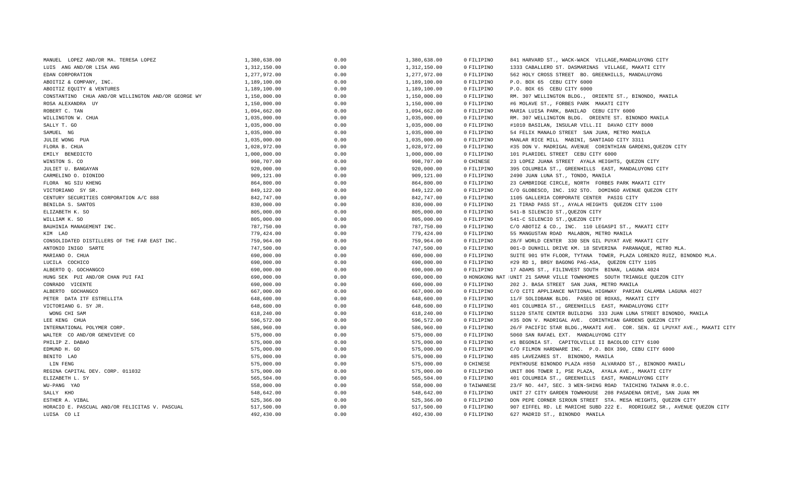| MANUEL LOPEZ AND/OR MA. TERESA LOPEZ                | 1,380,638.00 | 0.00 | 1,380,638.00 | 0 FILIPINO  | 841 HARVARD ST., WACK-WACK VILLAGE, MANDALUYONG CITY                       |
|-----------------------------------------------------|--------------|------|--------------|-------------|----------------------------------------------------------------------------|
| LUIS ANG AND/OR LISA ANG                            | 1,312,150.00 | 0.00 | 1,312,150.00 | 0 FILIPINO  | 1333 CABALLERO ST. DASMARINAS VILLAGE, MAKATI CITY                         |
| EDAN CORPORATION                                    | 1,277,972.00 | 0.00 | 1,277,972.00 | 0 FILIPINO  | 562 HOLY CROSS STREET BO. GREENHILLS, MANDALUYONG                          |
| ABOITIZ & COMPANY, INC.                             | 1,189,100.00 | 0.00 | 1,189,100.00 | 0 FILIPINO  | P.O. BOX 65 CEBU CITY 6000                                                 |
| ABOITIZ EQUITY & VENTURES                           | 1,189,100.00 | 0.00 | 1,189,100.00 | 0 FILIPINO  | P.O. BOX 65 CEBU CITY 6000                                                 |
| CONSTANTINO CHUA AND/OR WILLINGTON AND/OR GEORGE WY | 1,150,000.00 | 0.00 | 1,150,000.00 | 0 FILIPINO  | RM. 307 WELLINGTON BLDG., ORIENTE ST., BINONDO, MANILA                     |
| ROSA ALEXANDRA UY                                   | 1,150,000.00 | 0.00 | 1,150,000.00 | 0 FILIPINO  | #6 MOLAVE ST., FORBES PARK MAKATI CITY                                     |
| ROBERT C. TAN                                       | 1,094,662.00 | 0.00 | 1,094,662.00 | 0 FILIPINO  | MARIA LUISA PARK, BANILAD CEBU CITY 6000                                   |
| WILLINGTON W. CHUA                                  | 1,035,000.00 | 0.00 | 1,035,000.00 | 0 FILIPINO  | RM. 307 WELLINGTON BLDG. ORIENTE ST. BINONDO MANILA                        |
| SALLY T. GO                                         | 1,035,000.00 | 0.00 | 1,035,000.00 | 0 FILIPINO  | #1010 BASILAN, INSULAR VILL.II DAVAO CITY 8000                             |
| SAMUEL NG                                           | 1,035,000.00 | 0.00 | 1,035,000.00 | 0 FILIPINO  | 54 FELIX MANALO STREET SAN JUAN, METRO MANILA                              |
| JULIE WONG PUA                                      | 1,035,000.00 | 0.00 | 1,035,000.00 | 0 FILIPINO  | MANLAR RICE MILL MABINI, SANTIAGO CITY 3311                                |
| FLORA B. CHUA                                       | 1,028,972.00 | 0.00 | 1,028,972.00 | 0 FILIPINO  | #35 DON V. MADRIGAL AVENUE CORINTHIAN GARDENS, QUEZON CITY                 |
| EMILY BENEDICTO                                     | 1,000,000.00 | 0.00 | 1,000,000.00 | 0 FILIPINO  | 101 PLARIDEL STREET CEBU CITY 6000                                         |
| WINSTON S. CO                                       | 998,707.00   | 0.00 | 998,707.00   | 0 CHINESE   | 23 LOPEZ JUANA STREET AYALA HEIGHTS, QUEZON CITY                           |
| JULIET U. BANGAYAN                                  | 920,000.00   | 0.00 | 920,000.00   | 0 FILIPINO  | 395 COLUMBIA ST., GREENHILLS EAST, MANDALUYONG CITY                        |
| CARMELINO O. DIONIDO                                | 909,121.00   | 0.00 | 909,121.00   | 0 FILIPINO  | 2490 JUAN LUNA ST., TONDO, MANILA                                          |
| FLORA NG SIU KHENG                                  | 864,800.00   | 0.00 | 864,800.00   | 0 FILIPINO  | 23 CAMBRIDGE CIRCLE, NORTH FORBES PARK MAKATI CITY                         |
| VICTORIANO SY SR.                                   | 849,122.00   | 0.00 | 849,122.00   | 0 FILIPINO  | C/O GLOBESCO, INC. 192 STO. DOMINGO AVENUE QUEZON CITY                     |
| CENTURY SECURITIES CORPORATION A/C 888              | 842,747.00   | 0.00 | 842,747.00   | 0 FILIPINO  | 1105 GALLERIA CORPORATE CENTER PASIG CITY                                  |
| BENILDA S. SANTOS                                   | 830,000.00   | 0.00 | 830,000.00   | 0 FILIPINO  | 21 TIRAD PASS ST., AYALA HEIGHTS QUEZON CITY 1100                          |
| ELIZABETH K. SO                                     | 805,000.00   | 0.00 | 805,000.00   | 0 FILIPINO  | 541-B SILENCIO ST., QUEZON CITY                                            |
| WILLIAM K. SO                                       | 805,000.00   | 0.00 | 805,000.00   | 0 FILIPINO  | 541-C SILENCIO ST., QUEZON CITY                                            |
| BAUHINIA MANAGEMENT INC.                            | 787,750.00   | 0.00 | 787,750.00   | 0 FILIPINO  | C/O ABOTIZ & CO., INC. 110 LEGASPI ST., MAKATI CITY                        |
| KIM LAO                                             | 779,424.00   | 0.00 | 779,424.00   | 0 FILIPINO  | 55 MANGUSTAN ROAD MALABON, METRO MANILA                                    |
| CONSOLIDATED DISTILLERS OF THE FAR EAST INC.        | 759,964.00   | 0.00 | 759,964.00   | 0 FILIPINO  | 28/F WORLD CENTER 330 SEN GIL PUYAT AVE MAKATI CITY                        |
| ANTONIO INIGO SARTE                                 | 747,500.00   | 0.00 | 747,500.00   | 0 FILIPINO  | 001-D DUNHILL DRIVE KM. 18 SEVERINA PARANAQUE, METRO MLA.                  |
| MARIANO O. CHUA                                     | 690,000.00   | 0.00 | 690,000.00   | 0 FILIPINO  | SUITE 901 9TH FLOOR, TYTANA TOWER, PLAZA LORENZO RUIZ, BINONDO MLA.        |
| LUCILA COCHICO                                      | 690,000.00   | 0.00 | 690,000.00   | 0 FILIPINO  | #29 RD 1, BRGY BAGONG PAG-ASA, QUEZON CITY 1105                            |
| ALBERTO O. GOCHANGCO                                | 690,000.00   | 0.00 | 690,000.00   | 0 FILIPINO  | 17 ADAMS ST., FILINVEST SOUTH BINAN, LAGUNA 4024                           |
| HUNG SEK PUI AND/OR CHAN PUI FAI                    | 690,000.00   | 0.00 | 690,000.00   |             | 0 HONGKONG NAT IUNIT 21 SAMAR VILLE TOWNHOMES SOUTH TRIANGLE QUEZON CITY   |
| CONRADO VICENTE                                     | 690,000.00   | 0.00 | 690,000.00   | 0 FILIPINO  | 202 J. BASA STREET SAN JUAN, METRO MANILA                                  |
| ALBERTO GOCHANGCO                                   | 667,000.00   | 0.00 | 667,000.00   | 0 FILIPINO  | C/O CITI APPLIANCE NATIONAL HIGHWAY PARIAN CALAMBA LAGUNA 4027             |
| PETER DATA ITF ESTRELLITA                           | 648,600.00   | 0.00 | 648,600.00   | 0 FILIPINO  | 11/F SOLIDBANK BLDG. PASEO DE ROXAS, MAKATI CITY                           |
| VICTORIANO G. SY JR.                                | 648,600.00   | 0.00 | 648,600.00   | 0 FILIPINO  | 401 COLUMBIA ST., GREENHILLS EAST, MANDALUYONG CITY                        |
| WONG CHI SAM                                        | 618,240.00   | 0.00 | 618,240.00   | 0 FILIPINO  | S1120 STATE CENTER BUILDING 333 JUAN LUNA STREET BINONDO, MANILA           |
| LEE KENG CHUA                                       | 596,572.00   | 0.00 | 596,572.00   | 0 FILIPINO  | #35 DON V. MADRIGAL AVE. CORINTHIAN GARDENS QUEZON CITY                    |
| INTERNATIONAL POLYMER CORP.                         | 586,960.00   | 0.00 | 586,960.00   | 0 FILIPINO  | 26/F PACIFIC STAR BLDG., MAKATI AVE. COR. SEN. GI LPUYAT AVE., MAKATI CITY |
| WALTER CO AND/OR GENEVIEVE CO                       | 575,000.00   | 0.00 | 575,000.00   | 0 FILIPINO  | 5060 SAN RAFAEL EXT. MANDALUYONG CITY                                      |
| PHILIP Z. DABAO                                     | 575,000.00   | 0.00 | 575,000.00   | 0 FILIPINO  | #1 BEGONIA ST. CAPITOLVILLE II BACOLOD CITY 6100                           |
| EDMUND H. GO                                        | 575,000.00   | 0.00 | 575,000.00   | 0 FILIPINO  | C/O FILMON HARDWARE INC. P.O. BOX 390, CEBU CITY 6000                      |
| BENITO LAO                                          | 575,000.00   | 0.00 | 575,000.00   | 0 FILIPINO  | 485 LAVEZARES ST. BINONDO, MANILA                                          |
| LIN FENG                                            | 575,000.00   | 0.00 | 575,000.00   | 0 CHINESE   | PENTHOUSE BINONDO PLAZA #850 ALVARADO ST., BINONDO MANILI                  |
| REGINA CAPITAL DEV. CORP. 011032                    | 575,000.00   | 0.00 | 575,000.00   | 0 FILIPINO  | UNIT 806 TOWER I, PSE PLAZA, AYALA AVE., MAKATI CITY                       |
| ELIZABETH L. SY                                     | 565,504.00   | 0.00 | 565,504.00   | 0 FILIPINO  | 401 COLUMBIA ST., GREENHILLS EAST, MANDALUYONG CITY                        |
| WU-PANG YAO                                         | 558,000.00   | 0.00 | 558,000.00   | 0 TAIWANESE | 23/F NO. 447, SEC. 3 WEN-SHING ROAD TAICHING TAIWAN R.O.C.                 |
| SALLY KHO                                           | 548,642.00   | 0.00 | 548,642.00   | 0 FILIPINO  | UNIT 27 CITY GARDEN TOWNHOUSE 208 PASADENA DRIVE, SAN JUAN MM              |
| ESTHER A. VIBAL                                     | 525,366.00   | 0.00 | 525,366.00   | 0 FILIPINO  | DON PEPE CORNER SIROUN STREET STA. MESA HEIGHTS, QUEZON CITY               |
| HORACIO E. PASCUAL AND/OR FELICITAS V. PASCUAL      | 517,500.00   | 0.00 | 517,500.00   | 0 FILIPINO  | 907 EIFFEL RD. LE MARICHE SUBD 222 E. RODRIGUEZ SR., AVENUE QUEZON CITY    |
| LUISA CO LI                                         | 492,430.00   | 0.00 | 492,430.00   | 0 FILIPINO  | 627 MADRID ST., BINONDO MANILA                                             |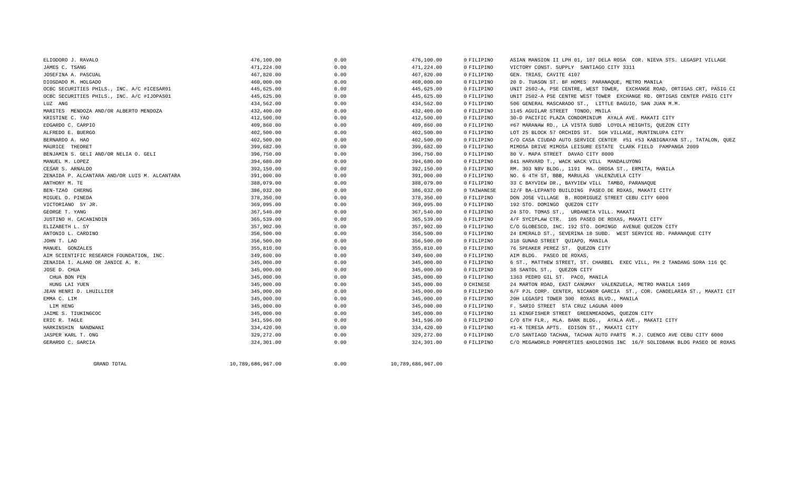| ELIODORO J. RAVALO                            | 476,100.00        | 0.00 | 476,100.00        | 0 FILIPINO  | ASIAN MANSION II LPH 01, 107 DELA ROSA COR. NIEVA STS. LEGASPI VILLAGE    |
|-----------------------------------------------|-------------------|------|-------------------|-------------|---------------------------------------------------------------------------|
| JAMES C. TSANG                                | 471,224.00        | 0.00 | 471,224.00        | 0 FILIPINO  | VICTORY CONST. SUPPLY SANTIAGO CITY 3311                                  |
| JOSEFINA A. PASCUAL                           | 467,820.00        | 0.00 | 467,820.00        | 0 FILIPINO  | GEN. TRIAS, CAVITE 4107                                                   |
| DIOSDADO M. HOLGADO                           | 460,000.00        | 0.00 | 460,000.00        | 0 FILIPINO  | 20 D. TUASON ST. BF HOMES PARANAQUE, METRO MANILA                         |
| OCBC SECURITIES PHILS., INC. A/C #ICESAR01    | 445,625.00        | 0.00 | 445,625.00        | 0 FILIPINO  | UNIT 2502-A, PSE CENTRE, WEST TOWER, EXCHANGE ROAD, ORTIGAS CRT, PASIG CI |
| OCBC SECURITIES PHILS., INC. A/C #IJOPAS01    | 445,625.00        | 0.00 | 445,625.00        | 0 FILIPINO  | UNIT 2502-A PSE CENTRE WEST TOWER EXCHANGE RD. ORTIGAS CENTER PASIG CITY  |
| LUZ ANG                                       | 434,562.00        | 0.00 | 434,562.00        | 0 FILIPINO  | 506 GENERAL MASCARADO ST., LITTLE BAGUIO, SAN JUAN M.M.                   |
| MARITES MENDOZA AND/OR ALBERTO MENDOZA        | 432,400.00        | 0.00 | 432,400.00        | 0 FILIPINO  | 1145 AGUILAR STREET TONDO, MNILA                                          |
| KRISTINE C. YAO                               | 412,500.00        | 0.00 | 412,500.00        | 0 FILIPINO  | 30-D PACIFIC PLAZA CONDOMINIUM AYALA AVE. MAKATI CITY                     |
| EDGARDO C. CARPIO                             | 409,860.00        | 0.00 | 409,860.00        | 0 FILIPINO  | #67 MARANAW RD., LA VISTA SUBD LOYOLA HEIGHTS, QUEZON CITY                |
| ALFREDO E. BUERGO                             | 402,500.00        | 0.00 | 402,500.00        | 0 FILIPINO  | LOT 25 BLOCK 57 ORCHIDS ST. SGH VILLAGE, MUNTINLUPA CITY                  |
| BERNARDO A. HAO                               | 402,500.00        | 0.00 | 402,500.00        | 0 FILIPINO  | C/O CASA CIUDAD AUTO SERVICE CENTER #51 #53 KABIGNAYAN ST., TATALON, QUEZ |
| MAURICE THEORET                               | 399,682.00        | 0.00 | 399,682.00        | 0 FILIPINO  | MIMOSA DRIVE MIMOSA LEISURE ESTATE CLARK FIELD PAMPANGA 2009              |
| BENJAMIN S. GELI AND/OR NELIA O. GELI         | 396,750.00        | 0.00 | 396,750.00        | 0 FILIPINO  | 80 V. MAPA STREET DAVAO CITY 8000                                         |
| MANUEL M. LOPEZ                               | 394,680.00        | 0.00 | 394,680.00        | 0 FILIPINO  | 841 HARVARD T., WACK WACK VILL MANDALUYONG                                |
| CESAR S. ARNALDO                              | 392,150.00        | 0.00 | 392,150.00        | 0 FILIPINO  | RM. 303 NBV BLDG., 1191 MA. OROSA ST., ERMITA, MANILA                     |
| ZENAIDA P. ALCANTARA AND/OR LUIS M. ALCANTARA | 391,000.00        | 0.00 | 391,000.00        | 0 FILIPINO  | NO. 6 4TH ST, BBB, MARULAS VALENZUELA CITY                                |
| ANTHONY M. TE                                 | 388,079.00        | 0.00 | 388,079.00        | 0 FILIPINO  | 33 C BAYVIEW DR., BAYVIEW VILL TAMBO, PARANAQUE                           |
| BEN-TZAO CHERNG                               | 386,032.00        | 0.00 | 386,032.00        | 0 TAIWANESE | 12/F BA-LEPANTO BUILDING PASEO DE ROXAS, MAKATI CITY                      |
| MIGUEL O. PINEDA                              | 378,350.00        | 0.00 | 378,350.00        | 0 FILIPINO  | DON JOSE VILLAGE B. RODRIGUEZ STREET CEBU CITY 6000                       |
| VICTORIANO SY JR.                             | 369,095.00        | 0.00 | 369,095.00        | 0 FILIPINO  | 192 STO. DOMINGO QUEZON CITY                                              |
| GEORGE T. YANG                                | 367,540.00        | 0.00 | 367,540.00        | 0 FILIPINO  | 24 STO. TOMAS ST., URDANETA VILL. MAKATI                                  |
| JUSTINO H. CACANINDIN                         | 365,539.00        | 0.00 | 365,539.00        | 0 FILIPINO  | 4/F SYCIPLAW CTR. 105 PASEO DE ROXAS, MAKATI CITY                         |
| ELIZABETH L. SY                               | 357,902.00        | 0.00 | 357,902.00        | 0 FILIPINO  | C/O GLOBESCO, INC. 192 STO. DOMINGO AVENUE QUEZON CITY                    |
| ANTONIO L. CARDINO                            | 356,500.00        | 0.00 | 356,500.00        | 0 FILIPINO  | 24 EMERALD ST., SEVERINA 18 SUBD. WEST SERVICE RD. PARANAQUE CITY         |
| JOHN T. LAO                                   | 356,500.00        | 0.00 | 356,500.00        | 0 FILIPINO  | 318 GUNAO STREET QUIAPO, MANILA                                           |
| MANUEL GONZALES                               | 355,810.00        | 0.00 | 355,810.00        | 0 FILIPINO  | 76 SPEAKER PEREZ ST. QUEZON CITY                                          |
| AIM SCIENTIFIC RESEARCH FOUNDATION, INC.      | 349,600.00        | 0.00 | 349,600.00        | 0 FILIPINO  | AIM BLDG. PASEO DE ROXAS,                                                 |
| ZENAIDA I. ALANO OR JANICE A. R.              | 345,000.00        | 0.00 | 345,000.00        | 0 FILIPINO  | 6 ST., MATTHEW STREET, ST. CHARBEL EXEC VILL, PH 2 TANDANG SORA 116 QC    |
| JOSE D. CHUA                                  | 345,000.00        | 0.00 | 345,000.00        | 0 FILIPINO  | 38 SANTOL ST., OUEZON CITY                                                |
| CHUA BON PEN                                  | 345,000.00        | 0.00 | 345,000.00        | 0 FILIPINO  | 1363 PEDRO GIL ST. PACO, MANILA                                           |
| HUNG LAI YUEN                                 | 345,000.00        | 0.00 | 345,000.00        | 0 CHINESE   | 24 MARTON ROAD, EAST CANUMAY VALENZUELA, METRO MANILA 1469                |
| JEAN HENRI D. LHUILLIER                       | 345,000.00        | 0.00 | 345,000.00        | 0 FILIPINO  | 6/F PJL CORP. CENTER, NICANOR GARCIA ST., COR. CANDELARIA ST., MAKATI CIT |
| EMMA C. LIM                                   | 345,000.00        | 0.00 | 345,000.00        | 0 FILIPINO  | 20H LEGASPI TOWER 300 ROXAS BLVD., MANILA                                 |
| LIM HENG                                      | 345,000.00        | 0.00 | 345,000.00        | 0 FILIPINO  | F. SARIO STREET STA CRUZ LAGUNA 4009                                      |
| JAIME S. TIUKINGCOC                           | 345,000.00        | 0.00 | 345,000.00        | 0 FILIPINO  | 11 KINGFISHER STREET GREENMEADOWS, QUEZON CITY                            |
| ERIC R. TAGLE                                 | 341,596.00        | 0.00 | 341,596.00        | 0 FILIPINO  | C/O 6TH FLR., MLA. BANK BLDG., AYALA AVE., MAKATI CITY                    |
| HARKINSHIN NANDWANI                           | 334,420.00        | 0.00 | 334,420.00        | 0 FILIPINO  | #1-K TERESA APTS. EDISON ST., MAKATI CITY                                 |
| JASPER KARL T. ONG                            | 329,272.00        | 0.00 | 329,272.00        | 0 FILIPINO  | C/O SANTIAGO TACHAN, TACHAN AUTO PARTS M.J. CUENCO AVE CEBU CITY 6000     |
| GERARDO C. GARCIA                             | 324,301.00        | 0.00 | 324,301.00        | 0 FILIPINO  | C/O MEGAWORLD PORPERTIES &HOLDINGS INC 16/F SOLIDBANK BLDG PASEO DE ROXAS |
| GRAND TOTAL                                   | 10,789,686,967.00 | 0.00 | 10,789,686,967.00 |             |                                                                           |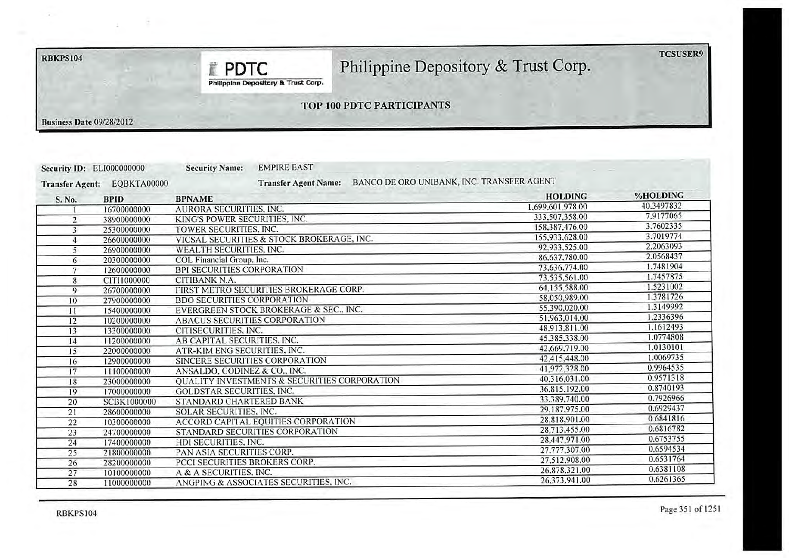**RBKPS104** 

TCSUSER9

# Philippine Depository & Trust Corp.

Philippine Depository & Trust Corp.

**E PDTC** 

## TOP 100 PDTC PARTICIPANTS

**Business Date 09/28/2012** 

|                        | Security ID: ELI000000000 | <b>EMPIRE EAST</b><br><b>Security Name:</b>  |                                           |            |
|------------------------|---------------------------|----------------------------------------------|-------------------------------------------|------------|
| <b>Transfer Agent:</b> | EQBKTA00000               | <b>Transfer Agent Name:</b>                  | BANCO DE ORO UNIBANK, INC. TRANSFER AGENT |            |
| S. No.                 | <b>BPID</b>               | <b>BPNAME</b>                                | <b>HOLDING</b>                            | %HOLDING   |
|                        | 16700000000               | <b>AURORA SECURITIES, INC.</b>               | 1.699,601,978.00                          | 40.3497832 |
| 2                      | 38900000000               | KING'S POWER SECURITIES. INC.                | 333,507,358.00                            | 7.9177065  |
| $\overline{3}$         | 25300000000               | TOWER SECURITIES, INC.                       | 158,387,476.00                            | 3.7602335  |
| 4                      | 26600000000               | VICSAL SECURITIES & STOCK BROKERAGE, INC.    | 155,933,628.00                            | 3.7019774  |
| 5                      | 26900000000               | WEALTH SECURITIES, INC.                      | 92.933.525.00                             | 2.2063093  |
| 6                      | 20300000000               | COL Financial Group, Inc.                    | 86,637,780.00                             | 2.0568437  |
| $\overline{7}$         | 12600000000               | <b>BPI SECURITIES CORPORATION</b>            | 73,636,774.00                             | 1.7481904  |
| 8                      | CITI1000000               | <b>CITIBANK N.A.</b>                         | 73.535,561.00                             | 1.7457875  |
| 9                      | 26700000000               | FIRST METRO SECURITIES BROKERAGE CORP.       | 64.155,588.00                             | 1.5231002  |
| 10                     | 27900000000               | <b>BDO SECURITIES CORPORATION</b>            | 58,050,989.00                             | 1.3781726  |
| 11                     | 15400000000               | EVERGREEN STOCK BROKERAGE & SEC., INC.       | 55.390.020.00                             | 1.3149992  |
| 12                     | 10200000000               | ABACUS SECURITIES CORPORATION                | 51.963.014.00                             | 1.2336396  |
| 13                     | 13300000000               | CITISECURITIES, INC.                         | 48.913.811.00                             | 1.1612493  |
| 14                     | 11200000000               | AB CAPITAL SECURITIES, INC.                  | 45.385.338.00                             | 1.0774808  |
| 15                     | 22000000000               | ATR-KIM ENG SECURITIES. INC.                 | 42,669,719.00                             | 1.0130101  |
| 16                     | 12900000000               | SINCERE SECURITIES CORPORATION               | 42.415.448.00                             | 1.0069735  |
| 17                     | 11100000000               | ANSALDO, GODINEZ & CO., INC.                 | 41,972,328.00                             | 0.9964535  |
| 18                     | 23000000000               | QUALITY INVESTMENTS & SECURITIES CORPORATION | 40.316.031.00                             | 0.9571318  |
| 19                     | 17000000000               | <b>GOLDSTAR SECURITIES, INC.</b>             | 36,815,192.00                             | 0.8740193  |
| 20                     | <b>SCBK1000000</b>        | STANDARD CHARTERED BANK                      | 33.389.740.00                             | 0.7926966  |
| 21                     | 28600000000               | SOLAR SECURITIES, INC.                       | 29,187,975.00                             | 0.6929437  |
| 22                     | 10300000000               | ACCORD CAPITAL EQUITIES CORPORATION          | 28,818,901.00                             | 0.6841816  |
| 23                     | 24700000000               | STANDARD SECURITIES CORPORATION              | 28.713.455.00                             | 0.6816782  |
| 24                     | 17400000000               | HDI SECURITIES, INC.                         | 28,447,971.00                             | 0.6753755  |
| 25                     | 21800000000               | PAN ASIA SECURITIES CORP.                    | 27,777,307.00                             | 0.6594534  |
| 26                     | 28200000000               | PCCI SECURITIES BROKERS CORP.                | 27,512,908.00                             | 0.6531764  |
| 27                     | 10100000000               | A & A SECURITIES. INC.                       | 26.878,321.00                             | 0.6381108  |
| 28                     | 11000000000               | ANGPING & ASSOCIATES SECURITIES, INC.        | 26,373,941.00                             | 0.6261365  |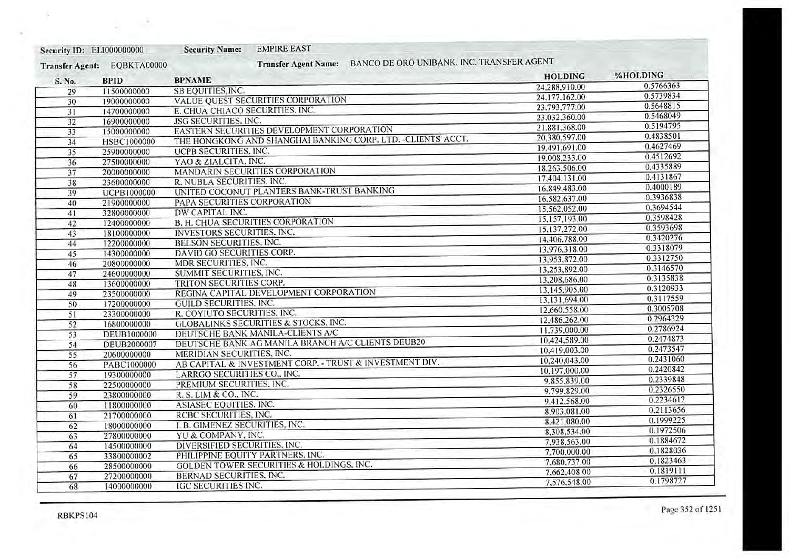| Security ID: ELI000000000 |                    | <b>EMPIRE EAST</b><br><b>Security Name:</b>                              |                |           |
|---------------------------|--------------------|--------------------------------------------------------------------------|----------------|-----------|
| <b>Transfer Agent:</b>    | EQBKTA00000        | BANCO DE ORO UNIBANK, INC. TRANSFER AGENT<br><b>Transfer Agent Name:</b> |                |           |
| S. No.                    | <b>BPID</b>        | <b>BPNAME</b>                                                            | <b>HOLDING</b> | %HOLDING  |
| 29                        | 11500000000        | SB EQUITIES, INC.                                                        | 24,288,910.00  | 0.5766363 |
| 30                        | 19000000000        | VALUE QUEST SECURITIES CORPORATION                                       | 24.177.162.00  | 0.5739834 |
| 31                        | 14700000000        | E. CHUA CHIACO SECURITIES, INC.                                          | 23,793,777.00  | 0.5648815 |
| 32                        | 16900000000        | JSG SECURITIES, INC.                                                     | 23.032.360.00  | 0.5468049 |
| 33                        | 15000000000        | EASTERN SECURITIES DEVELOPMENT CORPORATION                               | 21,881,368.00  | 0.5194795 |
| 34                        | <b>HSBC1000000</b> | THE HONGKONG AND SHANGHAI BANKING CORP. LTD. - CLIENTS' ACCT.            | 20,380,597.00  | 0.4838501 |
| 35                        | 25900000000        | UCPB SECURITIES, INC.                                                    | 19,491,691.00  | 0.4627469 |
| 36                        | 27500000000        | YAO & ZIALCITA. INC.                                                     | 19,008,233.00  | 0.4512692 |
| 37                        | 20000000000        | MANDARIN SECURITIES CORPORATION                                          | 18.263.506.00  | 0.4335889 |
|                           | 23600000000        | R. NUBLA SECURITIES, INC.                                                | 17,404,131.00  | 0.4131867 |
| 38                        | <b>UCPB1000000</b> | UNITED COCONUT PLANTERS BANK-TRUST BANKING                               | 16.849.483.00  | 0.4000189 |
| 39                        | 21900000000        | PAPA SECURITIES CORPORATION                                              | 16,582,637.00  | 0.3936838 |
| 40                        |                    | DW CAPITAL INC.                                                          | 15,562,052.00  | 0.3694544 |
| 41                        | 32800000000        | <b>B. H. CHUA SECURITIES CORPORATION</b>                                 | 15,157,193.00  | 0.3598428 |
| 42                        | 12400000000        | INVESTORS SECURITIES. INC.                                               | 15.137.272.00  | 0.3593698 |
| 43                        | 18100000000        | <b>BELSON SECURITIES, INC.</b>                                           | 14,406,788.00  | 0.3420276 |
| 44                        | 12200000000        | DAVID GO SECURITIES CORP.                                                | 13.976.318.00  | 0.3318079 |
| 45                        | 14300000000        |                                                                          | 13.953.872.00  | 0.3312750 |
| 46                        | 20800000000        | MDR SECURITIES, INC.                                                     | 13,253,892.00  | 0.3146570 |
| 47                        | 24600000000        | SUMMIT SECURITIES, INC.<br>TRITON SECURITIES CORP.                       | 13.208,686.00  | 0.3135838 |
| 48                        | 13600000000        | REGINA CAPITAL DEVELOPMENT CORPORATION                                   | 13,145,905.00  | 0.3120933 |
| 49                        | 23500000000        |                                                                          | 13.131.694.00  | 0.3117559 |
| 50                        | 17200000000        | <b>GUILD SECURITIES, INC.</b>                                            | 12,660,558.00  | 0.3005708 |
| 51                        | 23300000000        | R. COYIUTO SECURITIES, INC.                                              | 12.486.262.00  | 0.2964329 |
| 52                        | 16800000000        | <b>GLOBALINKS SECURITIES &amp; STOCKS, INC.</b>                          | 11.739,000.00  | 0.2786924 |
| 53                        | DEUB1000000        | DEUTSCHE BANK MANILA-CLIENTS A/C                                         | 10,424,589.00  | 0.2474873 |
| 54                        | <b>DEUB2000007</b> | DEUTSCHE BANK AG MANILA BRANCH A/C CLIENTS DEUB20                        | 10.419.003.00  | 0.2473547 |
| 55                        | 20600000000        | MERIDIAN SECURITIES, INC.                                                | 10,240,043.00  | 0.2431060 |
| 56                        | PABC1000000        | AB CAPITAL & INVESTMENT CORP. - TRUST & INVESTMENT DIV.                  | 10.197.000.00  | 0.2420842 |
| 57                        | 19300000000        | LARRGO SECURITIES CO., INC.                                              | 9.855,839.00   | 0.2339848 |
| 58                        | 22500000000        | PREMIUM SECURITIES, INC.                                                 | 9,799,829.00   | 0.2326550 |
| 59                        | 23800000000        | R. S. LIM & CO., INC.                                                    | 9.412.568.00   | 0.2234612 |
| 60                        | 11800000000        | ASIASEC EQUITIES, INC.                                                   | 8,903,081.00   | 0.2113656 |
| 61                        | 21700000000        | RCBC SECURITIES, INC.                                                    | 8.421.080.00   | 0.1999225 |
| 62                        | 18000000000        | I. B. GIMENEZ SECURITIES, INC.                                           | 8.308.534.00   | 0.1972506 |
| 63                        | 27800000000        | YU & COMPANY, INC.                                                       | 7,938,563.00   | 0.1884672 |
| 64                        | 14500000000        | DIVERSIFIED SECURITIES, INC.                                             | 7,700,000.00   | 0.1828036 |
| 65                        | 33800000002        | PHILIPPINE EQUITY PARTNERS, INC.                                         | 7.680,737.00   | 0.1823463 |
| 66                        | 28500000000        | <b>GOLDEN TOWER SECURITIES &amp; HOLDINGS, INC.</b>                      | 7.662,408.00   | 0.1819111 |
| 67                        | 27200000000        | BERNAD SECURITIES, INC.                                                  | 7,576,548.00   | 0.1798727 |
| 68                        | 14000000000        | <b>IGC SECURITIES INC.</b>                                               |                |           |

ري

à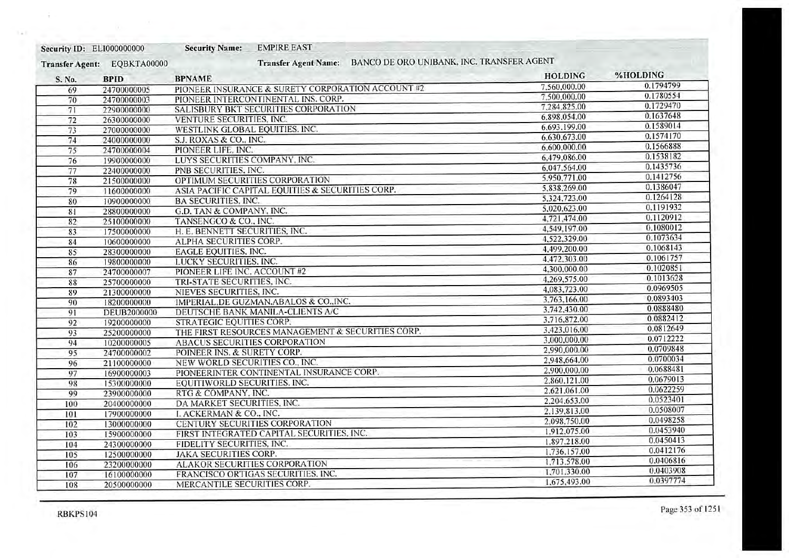| Security ID: ELI000000000              |                                                                                        | <b>Security Name:</b>                                                                    | <b>EMPIRE EAST</b>                                                                                                      |                                           |                                                              |           |
|----------------------------------------|----------------------------------------------------------------------------------------|------------------------------------------------------------------------------------------|-------------------------------------------------------------------------------------------------------------------------|-------------------------------------------|--------------------------------------------------------------|-----------|
| <b>Transfer Agent:</b>                 | EQBKTA00000                                                                            |                                                                                          | <b>Transfer Agent Name:</b>                                                                                             | BANCO DE ORO UNIBANK, INC. TRANSFER AGENT |                                                              |           |
| S. No.                                 | <b>BPID</b>                                                                            | <b>BPNAME</b>                                                                            |                                                                                                                         |                                           | <b>HOLDING</b>                                               | %HOLDING  |
| 69                                     | 24700000005                                                                            |                                                                                          | PIONEER INSURANCE & SURETY CORPORATION ACCOUNT #2                                                                       |                                           | 7.560,000.00                                                 | 0.1794799 |
| 70                                     | 24700000003                                                                            |                                                                                          | PIONEER INTERCONTINENTAL INS. CORP.                                                                                     |                                           | 7.500,000.00                                                 | 0.1780554 |
| 71                                     | 22900000000                                                                            |                                                                                          | SALISBURY BKT SECURITIES CORPORATION                                                                                    |                                           | 7.284.825.00                                                 | 0.1729470 |
| 72                                     | 26300000000                                                                            | VENTURE SECURITIES, INC.                                                                 |                                                                                                                         |                                           | 6,898,054.00                                                 | 0.1637648 |
| 73                                     | 27000000000                                                                            | WESTLINK GLOBAL EQUITIES. INC.                                                           |                                                                                                                         |                                           | 6,693,199.00                                                 | 0.1589014 |
| 74                                     | 24000000000                                                                            | S.J. ROXAS & CO., INC.                                                                   |                                                                                                                         |                                           | 6,630,673.00                                                 | 0.1574170 |
| 75                                     | 24700000004                                                                            | PIONEER LIFE, INC.                                                                       |                                                                                                                         |                                           | 6.600,000.00                                                 | 0.1566888 |
| 76                                     | 19900000000                                                                            | LUYS SECURITIES COMPANY, INC.                                                            |                                                                                                                         |                                           | 6,479,086.00                                                 | 0.1538182 |
| 77                                     | 22400000000                                                                            | PNB SECURITIES, INC.                                                                     |                                                                                                                         |                                           | 6.047.564.00                                                 | 0.1435736 |
| 78                                     | 21500000000                                                                            |                                                                                          | OPTIMUM SECURITIES CORPORATION                                                                                          |                                           | 5.950,771.00                                                 | 0.1412756 |
| 79                                     | 11600000000                                                                            |                                                                                          | ASIA PACIFIC CAPITAL EQUITIES & SECURITIES CORP.                                                                        |                                           | 5,838,269.00                                                 | 0.1386047 |
| 80                                     | 10900000000                                                                            | <b>BA SECURITIES, INC.</b>                                                               |                                                                                                                         |                                           | 5.324.723.00                                                 | 0.1264128 |
| 81                                     | 28800000000                                                                            | G.D. TAN & COMPANY, INC.                                                                 |                                                                                                                         |                                           | 5.020.623.00                                                 | 0.1191932 |
| 82                                     | 25100000000                                                                            | TANSENGCO & CO., INC.                                                                    |                                                                                                                         |                                           | 4,721,474.00                                                 | 0.1120912 |
| 83                                     | 17500000000                                                                            | H. E. BENNETT SECURITIES, INC.                                                           |                                                                                                                         |                                           | 4,549,197.00                                                 | 0.1080012 |
| 84                                     | 10600000000                                                                            | ALPHA SECURITIES CORP.                                                                   |                                                                                                                         |                                           | 4,522,329.00                                                 | 0.1073634 |
| 85                                     | 28300000000                                                                            | EAGLE EQUITIES, INC.                                                                     |                                                                                                                         |                                           | 4.499,200.00                                                 | 0.1068143 |
| 86                                     | 19800000000                                                                            | LUCKY SECURITIES, INC.                                                                   |                                                                                                                         |                                           | 4,472,303.00                                                 | 0.1061757 |
| 87                                     | 24700000007                                                                            | PIONEER LIFE INC. ACCOUNT #2                                                             |                                                                                                                         |                                           | 4,300,000.00                                                 | 0.1020851 |
| 88                                     | 25700000000                                                                            | TRI-STATE SECURITIES, INC.                                                               |                                                                                                                         |                                           | 4.269,575.00                                                 | 0.1013628 |
| 89                                     | 21300000000                                                                            | NIEVES SECURITIES, INC.                                                                  |                                                                                                                         |                                           | 4,083,723.00                                                 | 0.0969505 |
| 90                                     | 18200000000                                                                            |                                                                                          | IMPERIAL.DE GUZMAN.ABALOS & COINC.                                                                                      |                                           | 3.763.166.00                                                 | 0.0893403 |
| 91                                     | <b>DEUB2000000</b>                                                                     |                                                                                          | DEUTSCHE BANK MANILA-CLIENTS A/C                                                                                        |                                           | 3.742,430.00                                                 | 0.0888480 |
| 92                                     | 19200000000                                                                            | STRATEGIC EQUITIES CORP.                                                                 |                                                                                                                         |                                           | 3.716.872.00                                                 | 0.0882412 |
| 93                                     | 25200000000                                                                            |                                                                                          | THE FIRST RESOURCES MANAGEMENT & SECURITIES CORP.                                                                       |                                           | 3.423,016.00                                                 | 0.0812649 |
| 94                                     | 10200000005                                                                            | ABACUS SECURITIES CORPORATION                                                            |                                                                                                                         |                                           | 3,000,000.00                                                 | 0.0712222 |
| 95                                     | 24700000002                                                                            | POINEER INS. & SURETY CORP.                                                              |                                                                                                                         |                                           | 2,990,000.00                                                 | 0.0709848 |
| 96                                     | 21100000000                                                                            | NEW WORLD SECURITIES CO., INC.                                                           |                                                                                                                         |                                           | 2,948,664.00                                                 | 0.0700034 |
| 97                                     | 16900000003                                                                            |                                                                                          | PIONEERINTER CONTINENTAL INSURANCE CORP.                                                                                |                                           | 2,900,000,00                                                 | 0.0688481 |
| 98                                     | 15300000000                                                                            | EQUITIWORLD SECURITIES. INC.                                                             |                                                                                                                         |                                           | 2,860.121.00                                                 | 0.0679013 |
| 99                                     | 23900000000                                                                            | RTG & COMPANY, INC.                                                                      |                                                                                                                         |                                           | 2.621.061.00                                                 | 0.0622259 |
| 100                                    | 20400000000                                                                            | DA MARKET SECURITIES, INC.                                                               |                                                                                                                         |                                           | 2,204,653.00                                                 | 0.0523401 |
| 101                                    | 17900000000                                                                            | I. ACKERMAN & CO., INC.                                                                  |                                                                                                                         |                                           | 2,139,813.00                                                 | 0.0508007 |
| 102                                    | 13000000000                                                                            |                                                                                          | CENTURY SECURITIES CORPORATION                                                                                          |                                           | 2,098,750.00                                                 | 0.0498258 |
|                                        |                                                                                        |                                                                                          |                                                                                                                         |                                           | 1,912,075.00                                                 | 0.0453940 |
|                                        |                                                                                        |                                                                                          |                                                                                                                         |                                           |                                                              | 0.0450413 |
|                                        |                                                                                        |                                                                                          |                                                                                                                         |                                           | 1,736,157.00                                                 | 0.0412176 |
|                                        |                                                                                        |                                                                                          |                                                                                                                         |                                           |                                                              | 0.0406816 |
|                                        |                                                                                        |                                                                                          |                                                                                                                         |                                           |                                                              | 0.0403908 |
|                                        |                                                                                        |                                                                                          |                                                                                                                         |                                           |                                                              | 0.0397774 |
| 103<br>104<br>105<br>106<br>107<br>108 | 15900000000<br>24300000000<br>12500000000<br>23200000000<br>16100000000<br>20500000000 | FIDELITY SECURITIES, INC.<br><b>JAKA SECURITIES CORP.</b><br>MERCANTILE SECURITIES CORP. | FIRST INTEGRATED CAPITAL SECURITIES, INC.<br><b>ALAKOR SECURITIES CORPORATION</b><br>FRANCISCO ORTIGAS SECURITIES. INC. |                                           | 1.897.218.00<br>1,713,578.00<br>1,701,330.00<br>1,675,493.00 |           |

÷

La,

Ÿ.

 $\bullet$   $\bullet$   $\bullet$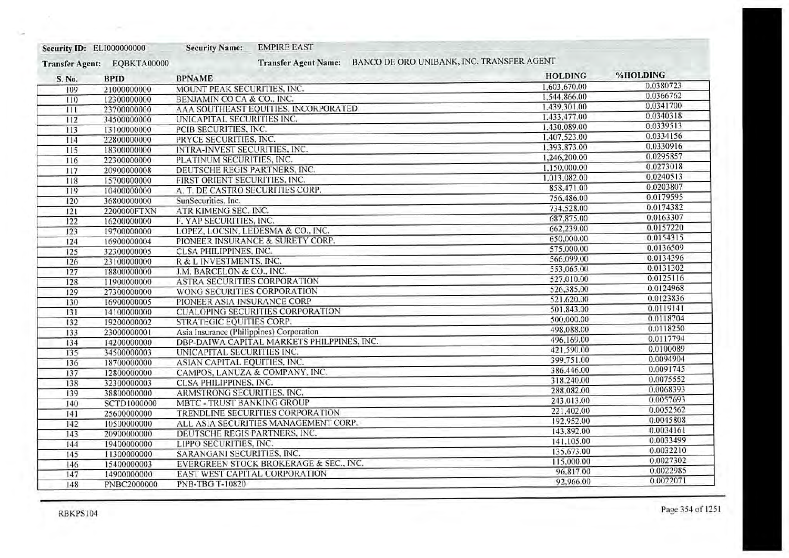| BANCO DE ORO UNIBANK, INC. TRANSFER AGENT<br><b>Transfer Agent Name:</b><br>EQBKTA00000<br><b>Transfer Agent:</b><br><b>BPNAME</b><br><b>BPID</b><br>S. No. | <b>HOLDING</b><br>1.603,670.00<br>1.544.866.00 | %HOLDING<br>0.0380723 |
|-------------------------------------------------------------------------------------------------------------------------------------------------------------|------------------------------------------------|-----------------------|
|                                                                                                                                                             |                                                |                       |
|                                                                                                                                                             |                                                |                       |
| MOUNT PEAK SECURITIES. INC.<br>21000000000<br>109                                                                                                           |                                                |                       |
| BENJAMIN CO CA & CO., INC.<br>12300000000<br>110                                                                                                            |                                                | 0.0366762             |
| AAA SOUTHEAST EQUITIES, INCORPORATED<br>23700000000<br>111                                                                                                  | 1.439.301.00                                   | 0.0341700             |
| UNICAPITAL SECURITIES INC.<br>112<br>34500000000                                                                                                            | 1.433.477.00                                   | 0.0340318             |
| PCIB SECURITIES, INC.<br>113<br>13100000000                                                                                                                 | 1,430,089.00                                   | 0.0339513             |
| PRYCE SECURITIES, INC.<br>22800000000<br>114                                                                                                                | 1,407,523.00                                   | 0.0334156             |
| INTRA-INVEST SECURITIES, INC.<br>18300000000<br>115                                                                                                         | 1,393,873.00                                   | 0.0330916             |
| PLATINUM SECURITIES, INC.<br>116<br>22300000000                                                                                                             | 1,246,200.00                                   | 0.0295857             |
| DEUTSCHE REGIS PARTNERS, INC.<br>117<br>20900000008                                                                                                         | 1.150.000.00                                   | 0.0273018             |
| FIRST ORIENT SECURITIES, INC.<br>118<br>15700000000                                                                                                         | 1,013,082.00                                   | 0.0240513             |
| A. T. DE CASTRO SECURITIES CORP.<br>10400000000<br>119                                                                                                      | 858,471.00                                     | 0.0203807             |
| SunSecurities, Inc.<br>120<br>36800000000                                                                                                                   | 756,486.00                                     | 0.0179595             |
| ATR KIMENG SEC. INC.<br>2200000FTXN<br>121                                                                                                                  | 734,528.00                                     | 0.0174382             |
| F. YAP SECURITIES, INC.<br>122<br>16200000000                                                                                                               | 687,875.00                                     | 0.0163307             |
| LOPEZ, LOCSIN, LEDESMA & CO., INC.<br>123<br>19700000000                                                                                                    | 662,239.00                                     | 0.0157220             |
| PIONEER INSURANCE & SURETY CORP.<br>124<br>16900000004                                                                                                      | 650,000.00                                     | 0.0154315             |
| CLSA PHILIPPINES, INC.<br>32300000005<br>125                                                                                                                | 575,000.00                                     | 0.0136509             |
| R & L INVESTMENTS, INC.<br>23100000000<br>126                                                                                                               | 566,099.00                                     | 0.0134396             |
| J.M. BARCELON & CO., INC.<br>127<br>18800000000                                                                                                             | 553,065.00                                     | 0.0131302             |
| <b>ASTRA SECURITIES CORPORATION</b><br>128<br>11900000000                                                                                                   | 527,010.00                                     | 0.0125116             |
| WONG SECURITIES CORPORATION<br>129<br>27300000000                                                                                                           | 526,385.00                                     | 0.0124968             |
| PIONEER ASIA INSURANCE CORP<br>16900000005<br>130                                                                                                           | 521,620,00                                     | 0.0123836             |
| <b>CUALOPING SECURITIES CORPORATION</b><br>14100000000<br>131                                                                                               | 501.843.00                                     | 0.0119141             |
| <b>STRATEGIC EQUITIES CORP.</b><br>132<br>19200000002                                                                                                       | 500,000.00                                     | 0.0118704             |
| Asia Insurance (Philippines) Corporation<br>23000000001<br>133                                                                                              | 498,088.00                                     | 0.0118250             |
| DBP-DAIWA CAPITAL MARKETS PHILPPINES, INC.<br>134<br>14200000000                                                                                            | 496,169.00                                     | 0.0117794             |
| UNICAPITAL SECURITIES INC.<br>34500000003<br>135                                                                                                            | 421,590.00                                     | 0.0100089             |
| ASIAN CAPITAL EQUITIES, INC.<br>136<br>18700000000                                                                                                          | 399,751.00                                     | 0.0094904             |
| CAMPOS, LANUZA & COMPANY, INC.<br>137<br>12800000000                                                                                                        | 386,446.00                                     | 0.0091745             |
| CLSA PHILIPPINES, INC.<br>138<br>32300000003                                                                                                                | 318,240.00                                     | 0.0075552             |
| ARMSTRONG SECURITIES, INC.<br>38800000000<br>139                                                                                                            | 288,082.00                                     | 0.0068393             |
| <b>MBTC - TRUST BANKING GROUP</b><br>140<br><b>SCTD1000000</b>                                                                                              | 243,013.00                                     | 0.0057693             |
| TRENDLINE SECURITIES CORPORATION<br>25600000000<br>141                                                                                                      | 221,402.00                                     | 0.0052562             |
| ALL ASIA SECURITIES MANAGEMENT CORP.<br>10500000000<br>142                                                                                                  | 192.952.00                                     | 0.0045808             |
| DEUTSCHE REGIS PARTNERS, INC.<br>20900000000<br>143                                                                                                         | 143,892.00                                     | 0.0034161             |
| LIPPO SECURITIES, INC.<br>144<br>19400000000                                                                                                                | 141,105.00                                     | 0.0033499             |
| SARANGANI SECURITIES, INC.<br>11300000000<br>145                                                                                                            | 135,673.00                                     | 0.0032210             |
| EVERGREEN STOCK BROKERAGE & SEC., INC.<br>15400000003<br>146                                                                                                | 115,000.00                                     | 0.0027302             |
| EAST WEST CAPITAL CORPORATION<br>14900000000<br>147                                                                                                         | 96.817.00                                      | 0.0022985             |
| <b>PNB-TBG T-10820</b><br>148<br>PNBC2000000                                                                                                                | 92,966.00                                      | 0.0022071             |